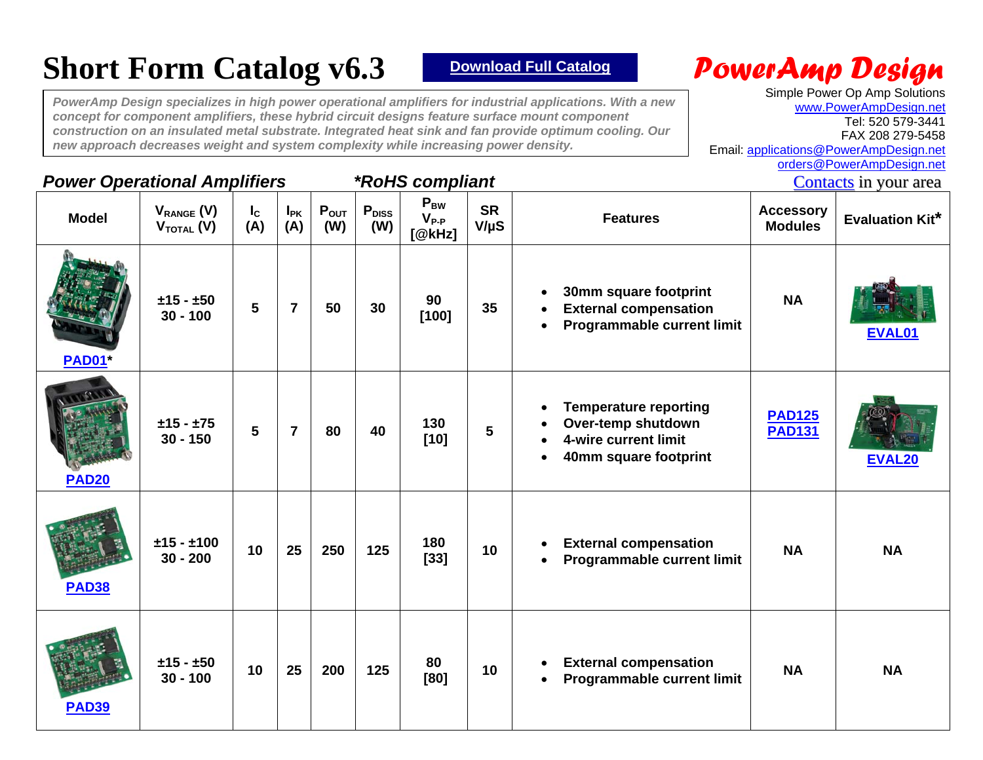# **Short Form Catalog v6.3** *Pownload Full Catalog**PowerAmp Design*

*PowerAmp Design specializes in high power operational amplifiers for industrial applications. With a new concept for component amplifiers, these hybrid circuit designs feature surface mount component construction on an insulated metal substrate. Integrated heat sink and fan provide optimum cooling. Our new approach decreases weight and system complexity while increasing power density.* 

Simple Power Op Amp Solutions [www.PowerAmpDesign.net](http://www.powerampdesign.net/) Tel: 520 579-3441 FAX 208 279-5458 Email: [applications@PowerAmpDesign.net](mailto:applications@PowerAmpDesign.net) [orders@PowerAmpDesign.net](mailto:orders@PowerAmpDesign.net)

## **Power Operational Amplifiers \*RoHS compliant**  The [Contacts](http://www.powerampdesign.net/contactsordering.html) in your area

| <b>Model</b> | $V_{RANGE} (V)$<br>$V_{\text{total}}(V)$ | $I_{\rm c}$<br>(A) | $I_{PK}$<br>(A) | $P_{OUT}$<br>(W) | P <sub>DISS</sub><br>(W) | $P_{BW}$<br>$V_{P-P}$<br>[@kHz] | <b>SR</b><br>$V/\mu S$ | <b>Features</b>                                                                                                               | <b>Accessory</b><br><b>Modules</b> | <b>Evaluation Kit*</b> |
|--------------|------------------------------------------|--------------------|-----------------|------------------|--------------------------|---------------------------------|------------------------|-------------------------------------------------------------------------------------------------------------------------------|------------------------------------|------------------------|
| <b>PAD01</b> | $±15 - ±50$<br>$30 - 100$                | $5\phantom{1}$     | $\overline{7}$  | 50               | 30                       | 90<br>$[100]$                   | 35                     | 30mm square footprint<br><b>External compensation</b><br>$\bullet$<br><b>Programmable current limit</b><br>$\bullet$          | <b>NA</b>                          | EVAL01                 |
| <b>PAD20</b> | $±15 - ±75$<br>$30 - 150$                | $5\phantom{a}$     | $\overline{7}$  | 80               | 40                       | 130<br>$[10]$                   | $5\phantom{.0}$        | <b>Temperature reporting</b><br>$\bullet$<br>Over-temp shutdown<br>4-wire current limit<br>40mm square footprint<br>$\bullet$ | <b>PAD125</b><br><b>PAD131</b>     | <b>EVAL20</b>          |
| <b>PAD38</b> | $±15 - ±100$<br>$30 - 200$               | 10                 | 25              | 250              | 125                      | 180<br>$[33]$                   | 10                     | <b>External compensation</b><br>$\bullet$<br><b>Programmable current limit</b><br>$\bullet$                                   | <b>NA</b>                          | <b>NA</b>              |
| <b>PAD39</b> | $±15 - ±50$<br>$30 - 100$                | 10                 | 25              | 200              | 125                      | 80<br>[80]                      | 10                     | <b>External compensation</b><br>$\bullet$<br>Programmable current limit<br>$\bullet$                                          | <b>NA</b>                          | <b>NA</b>              |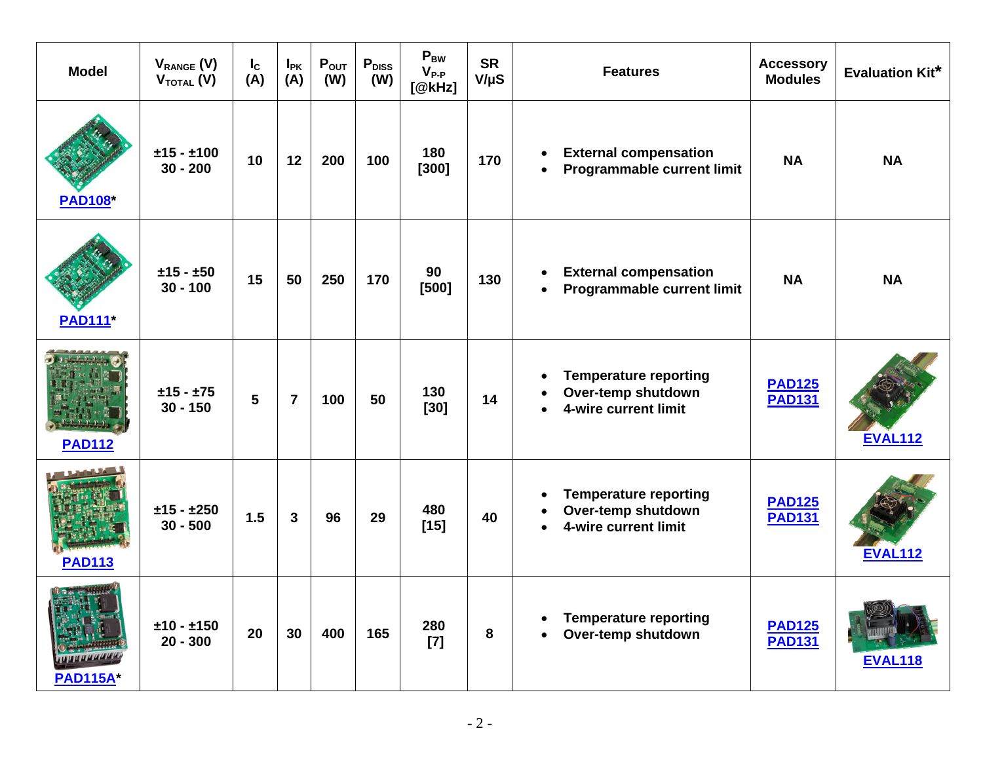| <b>Model</b>                                                       | $V_{RANGE}$ (V)<br>$V_{\text{total}}(V)$ | $I_{\rm c}$<br>(A) | $I_{PK}$<br>(A) | $P_{OUT}$<br>(W) | $P_{DISS}$<br>(W) | $P_{BW}$<br>$V_{P-P}$<br>[@kHz] | <b>SR</b><br>$V/\mu S$ | <b>Features</b>                                                                                                   | <b>Accessory</b><br><b>Modules</b> | <b>Evaluation Kit*</b> |
|--------------------------------------------------------------------|------------------------------------------|--------------------|-----------------|------------------|-------------------|---------------------------------|------------------------|-------------------------------------------------------------------------------------------------------------------|------------------------------------|------------------------|
| <b>PAD108*</b>                                                     | $±15 - ±100$<br>$30 - 200$               | 10                 | 12              | 200              | 100               | 180<br>$[300]$                  | 170                    | <b>External compensation</b><br>$\bullet$<br>Programmable current limit<br>$\bullet$                              | <b>NA</b>                          | <b>NA</b>              |
| <b>PAD111</b> *                                                    | $±15 - ±50$<br>$30 - 100$                | 15                 | 50              | 250              | 170               | 90<br>$[500]$                   | 130                    | <b>External compensation</b><br>$\bullet$<br><b>Programmable current limit</b><br>$\bullet$                       | <b>NA</b>                          | <b>NA</b>              |
| <b>PAD112</b>                                                      | $±15 - ±75$<br>$30 - 150$                | 5                  | $\overline{7}$  | 100              | 50                | 130<br>$[30]$                   | 14                     | <b>Temperature reporting</b><br>$\bullet$<br>Over-temp shutdown<br>$\bullet$<br>4-wire current limit<br>$\bullet$ | <b>PAD125</b><br><b>PAD131</b>     | <b>EVAL112</b>         |
| <b>PAD113</b>                                                      | $±15 - ±250$<br>$30 - 500$               | 1.5                | $\overline{3}$  | 96               | 29                | 480<br>$[15]$                   | 40                     | <b>Temperature reporting</b><br>$\bullet$<br>Over-temp shutdown<br>$\bullet$<br>4-wire current limit<br>$\bullet$ | <b>PAD125</b><br><b>PAD131</b>     | <b>EVAL112</b>         |
| $\frac{1}{2}$ or $\frac{1}{2}$ will be<br>ШИШИИ<br><b>PAD115A*</b> | $±10 - ±150$<br>$20 - 300$               | 20                 | 30              | 400              | 165               | 280<br>$[7]$                    | 8                      | <b>Temperature reporting</b><br>$\bullet$<br>Over-temp shutdown                                                   | <b>PAD125</b><br><b>PAD131</b>     | <b>EVAL118</b>         |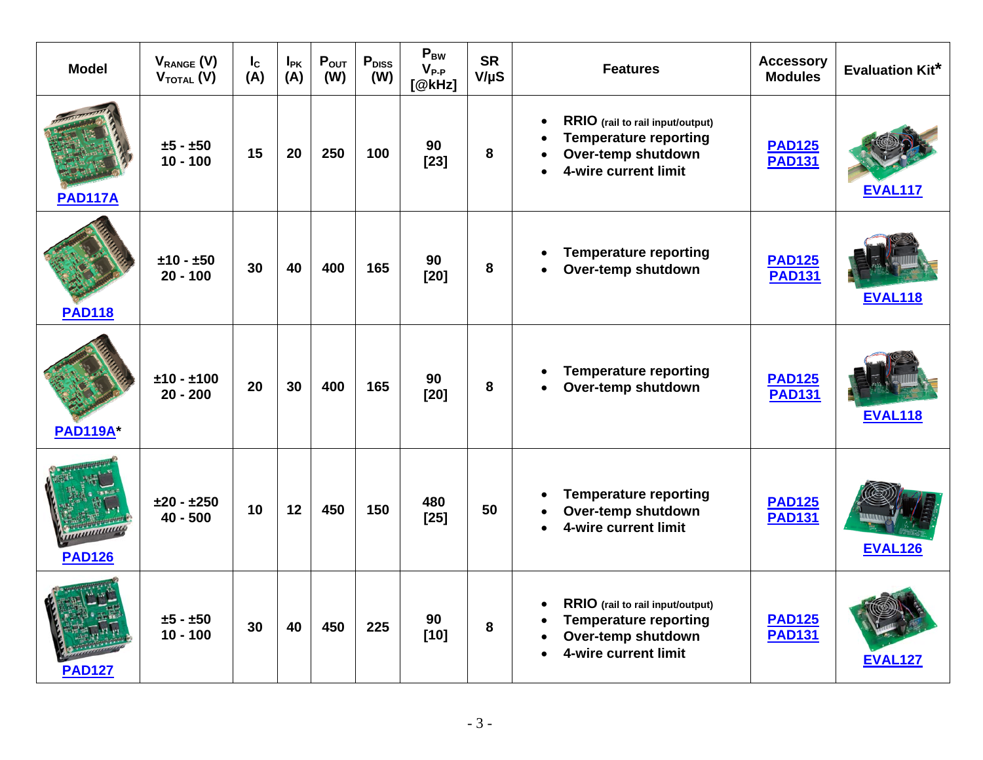| <b>Model</b>                     | $V_{RANGE}$ (V)<br>$V_{\text{total}}(V)$ | $I_{\rm c}$<br>(A) | $I_{PK}$<br>(A) | $P_{OUT}$<br>(W) | P <sub>DISS</sub><br>(W) | $P_{BW}$<br>$V_{P-P}$<br>[@kHz] | <b>SR</b><br>$V/\mu S$ | <b>Features</b>                                                                                                                                                    | <b>Accessory</b><br><b>Modules</b> | <b>Evaluation Kit*</b> |
|----------------------------------|------------------------------------------|--------------------|-----------------|------------------|--------------------------|---------------------------------|------------------------|--------------------------------------------------------------------------------------------------------------------------------------------------------------------|------------------------------------|------------------------|
| <b>PAD117A</b>                   | $±5 - ±50$<br>$10 - 100$                 | 15                 | 20              | 250              | 100                      | 90<br>$[23]$                    | 8                      | RRIO (rail to rail input/output)<br>$\bullet$<br><b>Temperature reporting</b><br>$\bullet$<br>Over-temp shutdown<br>$\bullet$<br>4-wire current limit<br>$\bullet$ | <b>PAD125</b><br><b>PAD131</b>     | <b>EVAL117</b>         |
| <b>PAD118</b>                    | $±10 - ±50$<br>$20 - 100$                | 30                 | 40              | 400              | 165                      | 90<br>$[20]$                    | 8                      | <b>Temperature reporting</b><br>$\bullet$<br>Over-temp shutdown<br>$\bullet$                                                                                       | <b>PAD125</b><br><b>PAD131</b>     | <b>EVAL118</b>         |
| <b>PAD119A*</b>                  | $±10 - ±100$<br>$20 - 200$               | 20                 | 30              | 400              | 165                      | 90<br>$[20]$                    | 8                      | <b>Temperature reporting</b><br>$\bullet$<br>Over-temp shutdown<br>$\bullet$                                                                                       | <b>PAD125</b><br><b>PAD131</b>     | <b>EVAL118</b>         |
| <u>uuunnuun</u><br><b>PAD126</b> | $±20 - ±250$<br>$40 - 500$               | 10                 | 12              | 450              | 150                      | 480<br>$[25]$                   | 50                     | <b>Temperature reporting</b><br>$\bullet$<br>Over-temp shutdown<br>$\bullet$<br>4-wire current limit<br>$\bullet$                                                  | <b>PAD125</b><br><b>PAD131</b>     | <b>EVAL126</b>         |
| <b>PAD127</b>                    | $±5 - ±50$<br>$10 - 100$                 | 30                 | 40              | 450              | 225                      | 90<br>$[10]$                    | 8                      | RRIO (rail to rail input/output)<br>$\bullet$<br><b>Temperature reporting</b><br>$\bullet$<br>Over-temp shutdown<br>$\bullet$<br>4-wire current limit<br>$\bullet$ | <b>PAD125</b><br><b>PAD131</b>     | <b>EVAL127</b>         |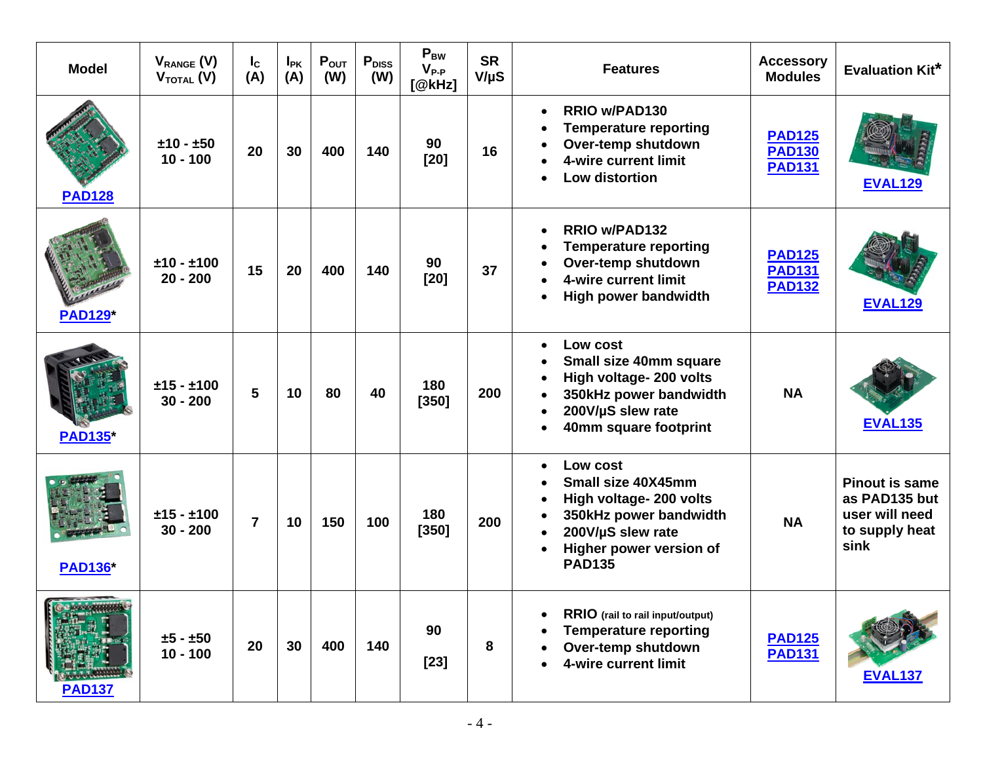| <b>Model</b>   | $V_{RANGE}$ (V)<br>$V_{\text{total}}(V)$ | $I_c$<br>(A)   | $I_{PK}$<br>(A) | $P_{OUT}$<br>(W) | $P_{DISS}$<br>(W) | $P_{BW}$<br>$V_{P-P}$<br>[@kHz] | <b>SR</b><br>$V/\mu S$ | <b>Features</b>                                                                                                                                                                                                                    | <b>Accessory</b><br><b>Modules</b>              | <b>Evaluation Kit*</b>                                                             |
|----------------|------------------------------------------|----------------|-----------------|------------------|-------------------|---------------------------------|------------------------|------------------------------------------------------------------------------------------------------------------------------------------------------------------------------------------------------------------------------------|-------------------------------------------------|------------------------------------------------------------------------------------|
| <b>PAD128</b>  | $±10 - ±50$<br>$10 - 100$                | 20             | 30              | 400              | 140               | 90<br>$[20]$                    | 16                     | <b>RRIO w/PAD130</b><br>$\bullet$<br><b>Temperature reporting</b><br>$\bullet$<br>Over-temp shutdown<br>$\bullet$<br>4-wire current limit<br>$\bullet$<br><b>Low distortion</b><br>$\bullet$                                       | <b>PAD125</b><br><b>PAD130</b><br><b>PAD131</b> | <b>EVAL129</b>                                                                     |
| <b>PAD129*</b> | $±10 - ±100$<br>$20 - 200$               | 15             | 20              | 400              | 140               | 90<br>$[20]$                    | 37                     | <b>RRIO w/PAD132</b><br>$\bullet$<br><b>Temperature reporting</b><br>$\bullet$<br>Over-temp shutdown<br>$\bullet$<br>4-wire current limit<br>$\bullet$<br>High power bandwidth<br>$\bullet$                                        | <b>PAD125</b><br><b>PAD131</b><br><b>PAD132</b> | <b>EVAL129</b>                                                                     |
| <b>PAD135*</b> | $±15 - ±100$<br>$30 - 200$               | 5              | 10              | 80               | 40                | 180<br>$[350]$                  | 200                    | Low cost<br>$\bullet$<br>Small size 40mm square<br>$\bullet$<br>High voltage- 200 volts<br>$\bullet$<br>350kHz power bandwidth<br>$\bullet$<br>200V/µS slew rate<br>$\bullet$<br>40mm square footprint<br>$\bullet$                | <b>NA</b>                                       | <b>EVAL135</b>                                                                     |
| <b>PAD136*</b> | $±15 - ±100$<br>$30 - 200$               | $\overline{7}$ | 10              | 150              | 100               | 180<br>$[350]$                  | 200                    | Low cost<br>$\bullet$<br>Small size 40X45mm<br>$\bullet$<br>High voltage- 200 volts<br>$\bullet$<br>350kHz power bandwidth<br>$\bullet$<br>200V/µS slew rate<br>$\bullet$<br>Higher power version of<br>$\bullet$<br><b>PAD135</b> | <b>NA</b>                                       | <b>Pinout is same</b><br>as PAD135 but<br>user will need<br>to supply heat<br>sink |
| <b>PAD137</b>  | $±5 - ±50$<br>$10 - 100$                 | 20             | 30              | 400              | 140               | 90<br>$[23]$                    | 8                      | RRIO (rail to rail input/output)<br>$\bullet$<br><b>Temperature reporting</b><br>$\bullet$<br>Over-temp shutdown<br>4-wire current limit                                                                                           | <b>PAD125</b><br><b>PAD131</b>                  | <b>EVAL137</b>                                                                     |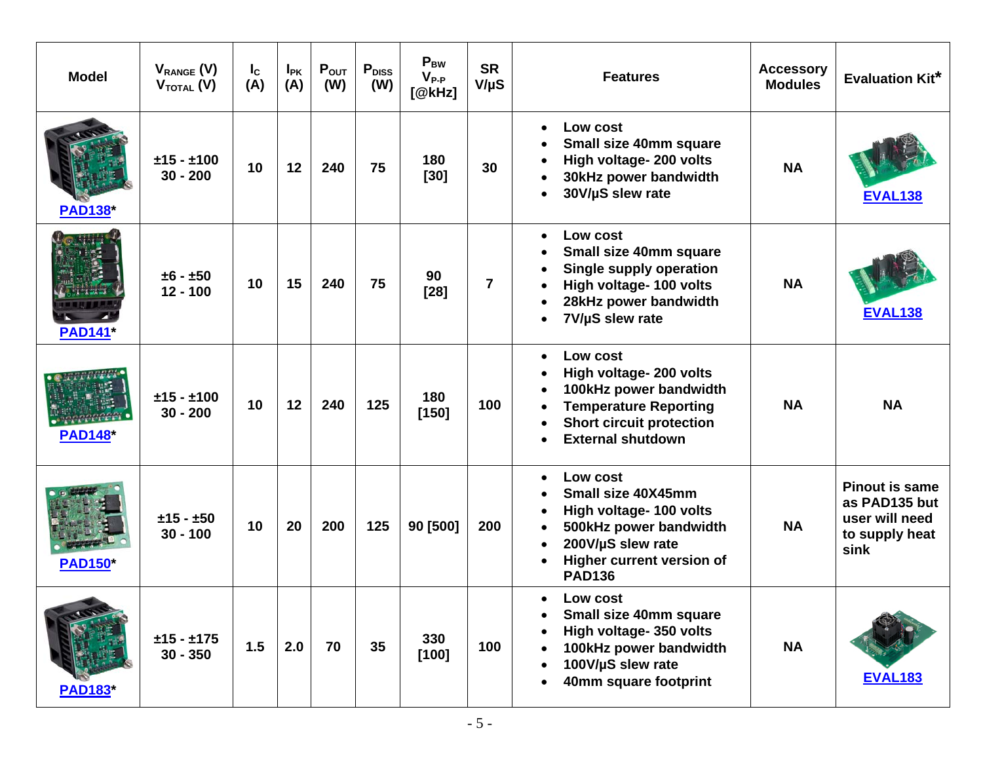| <b>Model</b>   | $V_{RANGE}$ (V)<br>$V_{\text{total}}(V)$ | $I_{\rm c}$<br>(A) | $I_{PK}$<br>(A) | $P_{OUT}$<br>(W) | P <sub>DISS</sub><br>(W) | $P_{BW}$<br>$V_{P-P}$<br>[@kHz] | <b>SR</b><br>$V/\mu S$ | <b>Features</b>                                                                                                                                                                                     | <b>Accessory</b><br><b>Modules</b> | <b>Evaluation Kit*</b>                                                             |
|----------------|------------------------------------------|--------------------|-----------------|------------------|--------------------------|---------------------------------|------------------------|-----------------------------------------------------------------------------------------------------------------------------------------------------------------------------------------------------|------------------------------------|------------------------------------------------------------------------------------|
| <b>PAD138*</b> | $±15 - ±100$<br>$30 - 200$               | 10                 | 12              | 240              | 75                       | 180<br>$[30]$                   | 30                     | Low cost<br>$\bullet$<br>Small size 40mm square<br>High voltage- 200 volts<br>30kHz power bandwidth<br>$\bullet$<br>30V/µS slew rate<br>$\bullet$                                                   | <b>NA</b>                          | <b>EVAL138</b>                                                                     |
| <b>PAD141*</b> | $±6 - ±50$<br>$12 - 100$                 | 10                 | 15              | 240              | 75                       | 90<br>$[28]$                    | $\overline{7}$         | Low cost<br>$\bullet$<br>Small size 40mm square<br>٠<br><b>Single supply operation</b><br>$\bullet$<br>High voltage- 100 volts<br>28kHz power bandwidth<br>7V/µS slew rate<br>$\bullet$             | <b>NA</b>                          | <b>EVAL138</b>                                                                     |
| <b>PAD148*</b> | $±15 - ±100$<br>$30 - 200$               | 10                 | 12              | 240              | 125                      | 180<br>$[150]$                  | 100                    | Low cost<br>$\bullet$<br>High voltage- 200 volts<br>100kHz power bandwidth<br><b>Temperature Reporting</b><br><b>Short circuit protection</b><br>$\bullet$<br><b>External shutdown</b><br>$\bullet$ | <b>NA</b>                          | <b>NA</b>                                                                          |
| <b>PAD150*</b> | $±15 - ±50$<br>$30 - 100$                | 10                 | 20              | 200              | 125                      | 90 [500]                        | 200                    | Low cost<br>$\bullet$<br>Small size 40X45mm<br>High voltage- 100 volts<br>500kHz power bandwidth<br>200V/µS slew rate<br>$\bullet$<br>Higher current version of<br><b>PAD136</b>                    | <b>NA</b>                          | <b>Pinout is same</b><br>as PAD135 but<br>user will need<br>to supply heat<br>sink |
| <b>PAD183*</b> | $±15 - ±175$<br>$30 - 350$               | 1.5                | 2.0             | 70               | 35                       | 330<br>[100]                    | 100                    | Low cost<br>Small size 40mm square<br>High voltage- 350 volts<br>$\bullet$<br>100kHz power bandwidth<br>100V/µS slew rate<br>40mm square footprint                                                  | <b>NA</b>                          | <b>EVAL183</b>                                                                     |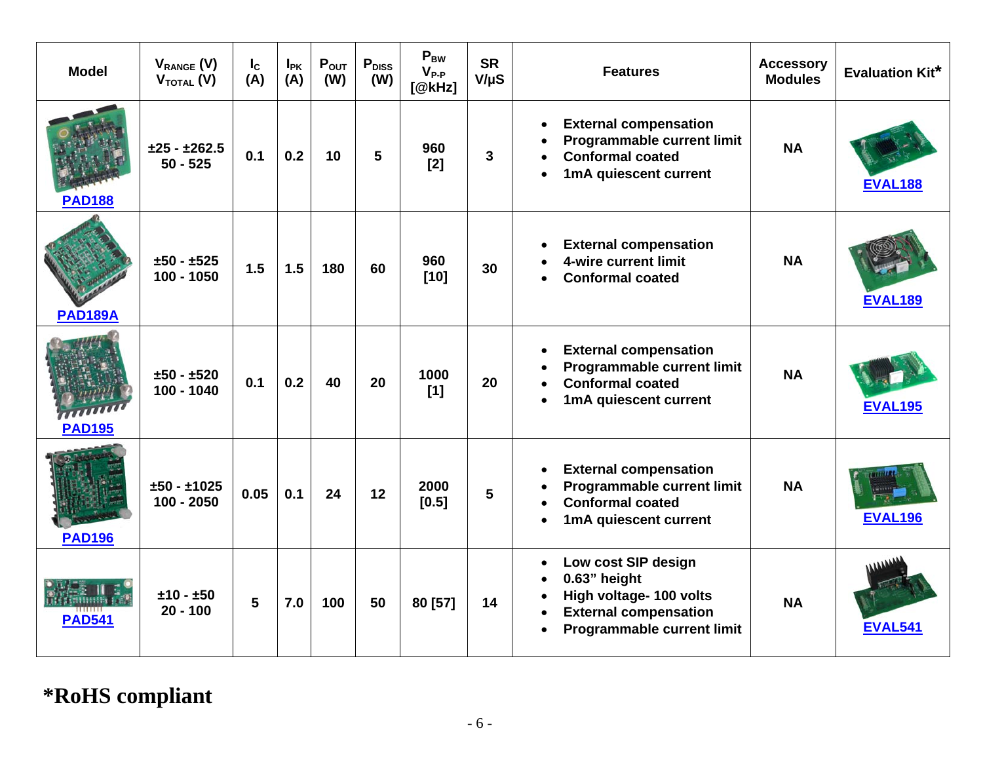| <b>Model</b>   | $V_{RANGE}$ (V)<br>$V_{\text{total}}(V)$ | $I_c$<br>(A) | $I_{PK}$<br>(A) | $P_{OUT}$<br>(W) | $P_{DISS}$<br>(W) | $P_{BW}$<br>$V_{P-P}$<br>[@kHz] | <b>SR</b><br>$V/\mu S$ | <b>Features</b>                                                                                                                                                                                      | <b>Accessory</b><br><b>Modules</b> | <b>Evaluation Kit*</b> |
|----------------|------------------------------------------|--------------|-----------------|------------------|-------------------|---------------------------------|------------------------|------------------------------------------------------------------------------------------------------------------------------------------------------------------------------------------------------|------------------------------------|------------------------|
| <b>PAD188</b>  | $±25 - ±262.5$<br>$50 - 525$             | 0.1          | 0.2             | 10               | 5                 | 960<br>[2]                      | 3                      | <b>External compensation</b><br>$\bullet$<br><b>Programmable current limit</b><br>$\bullet$<br><b>Conformal coated</b><br>$\bullet$<br>1mA quiescent current<br>$\bullet$                            | <b>NA</b>                          | <b>EVAL188</b>         |
| <b>PAD189A</b> | $±50 - ±525$<br>$100 - 1050$             | 1.5          | 1.5             | 180              | 60                | 960<br>$[10]$                   | 30                     | <b>External compensation</b><br>$\bullet$<br>4-wire current limit<br><b>Conformal coated</b><br>$\bullet$                                                                                            | <b>NA</b>                          | <b>EVAL189</b>         |
| <b>PAD195</b>  | $±50 - ±520$<br>100 - 1040               | 0.1          | 0.2             | 40               | 20                | 1000<br>[1]                     | 20                     | <b>External compensation</b><br>$\bullet$<br><b>Programmable current limit</b><br>$\bullet$<br><b>Conformal coated</b><br>$\bullet$<br>1mA quiescent current<br>$\bullet$                            | <b>NA</b>                          | <b>EVAL195</b>         |
| <b>PAD196</b>  | $±50 - ±1025$<br>$100 - 2050$            | 0.05         | 0.1             | 24               | 12                | 2000<br>$[0.5]$                 | 5                      | <b>External compensation</b><br>$\bullet$<br>Programmable current limit<br>$\bullet$<br><b>Conformal coated</b><br>$\bullet$<br>1mA quiescent current<br>$\bullet$                                   | <b>NA</b>                          | <b>EVAL196</b>         |
| <b>PAD541</b>  | $±10 - ±50$<br>$20 - 100$                | 5            | 7.0             | 100              | 50                | 80 [57]                         | 14                     | Low cost SIP design<br>$\bullet$<br>0.63" height<br>$\bullet$<br>High voltage- 100 volts<br>$\bullet$<br><b>External compensation</b><br>$\bullet$<br><b>Programmable current limit</b><br>$\bullet$ | <b>NA</b>                          | <b>EVAL541</b>         |

## **\*RoHS compliant**